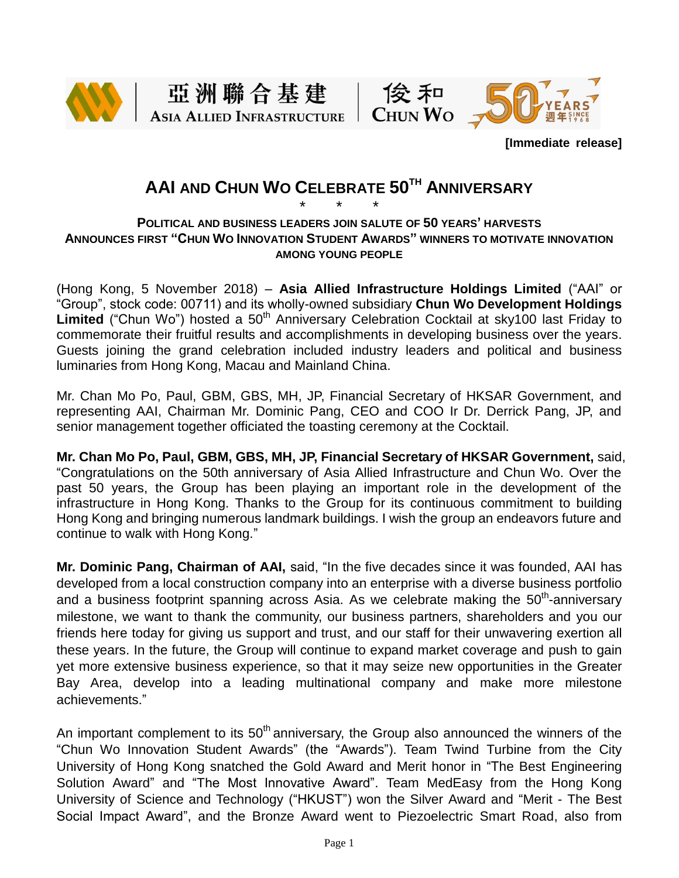







**[Immediate release]**

# **AAI AND CHUN WO CELEBRATE 50TH ANNIVERSARY**

## \* \* \* **POLITICAL AND BUSINESS LEADERS JOIN SALUTE OF 50 YEARS' HARVESTS ANNOUNCES FIRST "CHUN WO INNOVATION STUDENT AWARDS" WINNERS TO MOTIVATE INNOVATION AMONG YOUNG PEOPLE**

(Hong Kong, 5 November 2018) – **Asia Allied Infrastructure Holdings Limited** ("AAI" or "Group", stock code: 00711) and its wholly-owned subsidiary **Chun Wo Development Holdings**  Limited ("Chun Wo") hosted a 50<sup>th</sup> Anniversary Celebration Cocktail at sky100 last Friday to commemorate their fruitful results and accomplishments in developing business over the years. Guests joining the grand celebration included industry leaders and political and business luminaries from Hong Kong, Macau and Mainland China.

Mr. Chan Mo Po, Paul, GBM, GBS, MH, JP, Financial Secretary of HKSAR Government, and representing AAI, Chairman Mr. Dominic Pang, CEO and COO Ir Dr. Derrick Pang, JP, and senior management together officiated the toasting ceremony at the Cocktail.

**Mr. Chan Mo Po, Paul, GBM, GBS, MH, JP, Financial Secretary of HKSAR Government,** said, "Congratulations on the 50th anniversary of Asia Allied Infrastructure and Chun Wo. Over the past 50 years, the Group has been playing an important role in the development of the infrastructure in Hong Kong. Thanks to the Group for its continuous commitment to building Hong Kong and bringing numerous landmark buildings. I wish the group an endeavors future and continue to walk with Hong Kong."

**Mr. Dominic Pang, Chairman of AAI,** said, "In the five decades since it was founded, AAI has developed from a local construction company into an enterprise with a diverse business portfolio and a business footprint spanning across Asia. As we celebrate making the 50<sup>th</sup>-anniversary milestone, we want to thank the community, our business partners, shareholders and you our friends here today for giving us support and trust, and our staff for their unwavering exertion all these years. In the future, the Group will continue to expand market coverage and push to gain yet more extensive business experience, so that it may seize new opportunities in the Greater Bay Area, develop into a leading multinational company and make more milestone achievements."

An important complement to its  $50<sup>th</sup>$  anniversary, the Group also announced the winners of the "Chun Wo Innovation Student Awards" (the "Awards"). Team Twind Turbine from the City University of Hong Kong snatched the Gold Award and Merit honor in "The Best Engineering Solution Award" and "The Most Innovative Award". Team MedEasy from the Hong Kong University of Science and Technology ("HKUST") won the Silver Award and "Merit - The Best Social Impact Award", and the Bronze Award went to Piezoelectric Smart Road, also from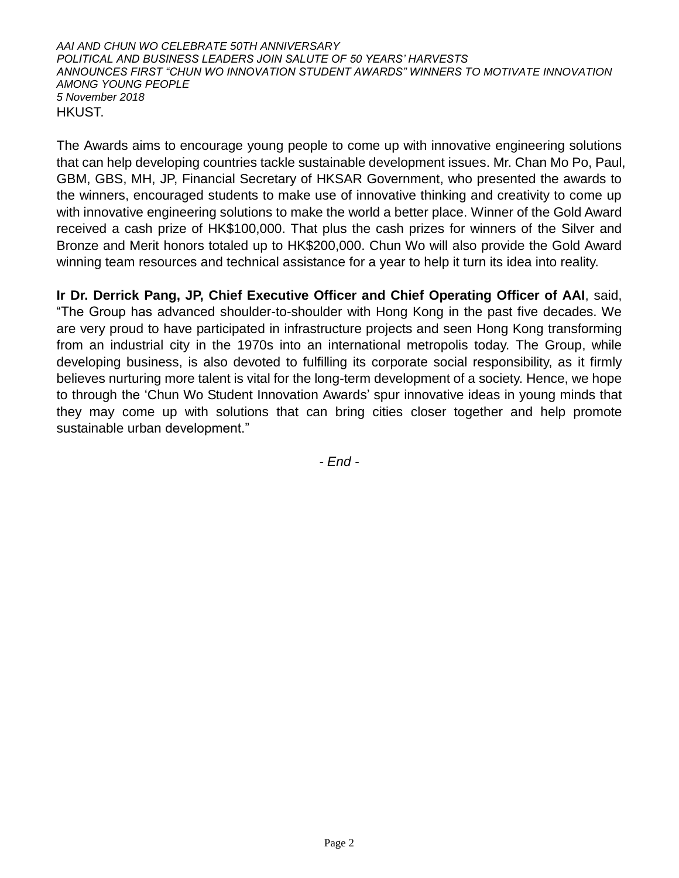## *AAI AND CHUN WO CELEBRATE 50TH ANNIVERSARY POLITICAL AND BUSINESS LEADERS JOIN SALUTE OF 50 YEARS' HARVESTS ANNOUNCES FIRST "CHUN WO INNOVATION STUDENT AWARDS" WINNERS TO MOTIVATE INNOVATION AMONG YOUNG PEOPLE 5 November 2018* HKUST.

The Awards aims to encourage young people to come up with innovative engineering solutions that can help developing countries tackle sustainable development issues. Mr. Chan Mo Po, Paul, GBM, GBS, MH, JP, Financial Secretary of HKSAR Government, who presented the awards to the winners, encouraged students to make use of innovative thinking and creativity to come up with innovative engineering solutions to make the world a better place. Winner of the Gold Award received a cash prize of HK\$100,000. That plus the cash prizes for winners of the Silver and Bronze and Merit honors totaled up to HK\$200,000. Chun Wo will also provide the Gold Award winning team resources and technical assistance for a year to help it turn its idea into reality.

**Ir Dr. Derrick Pang, JP, Chief Executive Officer and Chief Operating Officer of AAI**, said, "The Group has advanced shoulder-to-shoulder with Hong Kong in the past five decades. We are very proud to have participated in infrastructure projects and seen Hong Kong transforming from an industrial city in the 1970s into an international metropolis today. The Group, while developing business, is also devoted to fulfilling its corporate social responsibility, as it firmly believes nurturing more talent is vital for the long-term development of a society. Hence, we hope to through the 'Chun Wo Student Innovation Awards' spur innovative ideas in young minds that they may come up with solutions that can bring cities closer together and help promote sustainable urban development."

*- End -*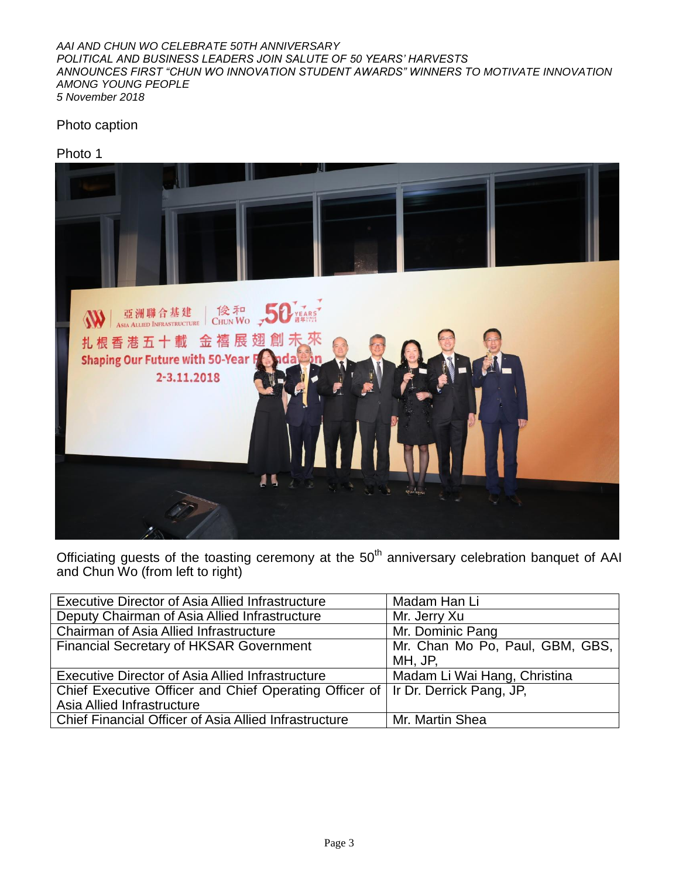*AAI AND CHUN WO CELEBRATE 50TH ANNIVERSARY POLITICAL AND BUSINESS LEADERS JOIN SALUTE OF 50 YEARS' HARVESTS ANNOUNCES FIRST "CHUN WO INNOVATION STUDENT AWARDS" WINNERS TO MOTIVATE INNOVATION AMONG YOUNG PEOPLE 5 November 2018*

# Photo caption





Officiating guests of the toasting ceremony at the  $50<sup>th</sup>$  anniversary celebration banquet of AAI and Chun Wo (from left to right)

| Executive Director of Asia Allied Infrastructure                                  | Madam Han Li                    |
|-----------------------------------------------------------------------------------|---------------------------------|
| Deputy Chairman of Asia Allied Infrastructure                                     | Mr. Jerry Xu                    |
| Chairman of Asia Allied Infrastructure                                            | Mr. Dominic Pang                |
| <b>Financial Secretary of HKSAR Government</b>                                    | Mr. Chan Mo Po, Paul, GBM, GBS, |
|                                                                                   | MH, JP,                         |
| Executive Director of Asia Allied Infrastructure                                  | Madam Li Wai Hang, Christina    |
| Chief Executive Officer and Chief Operating Officer of   Ir Dr. Derrick Pang, JP, |                                 |
| Asia Allied Infrastructure                                                        |                                 |
| Chief Financial Officer of Asia Allied Infrastructure                             | Mr. Martin Shea                 |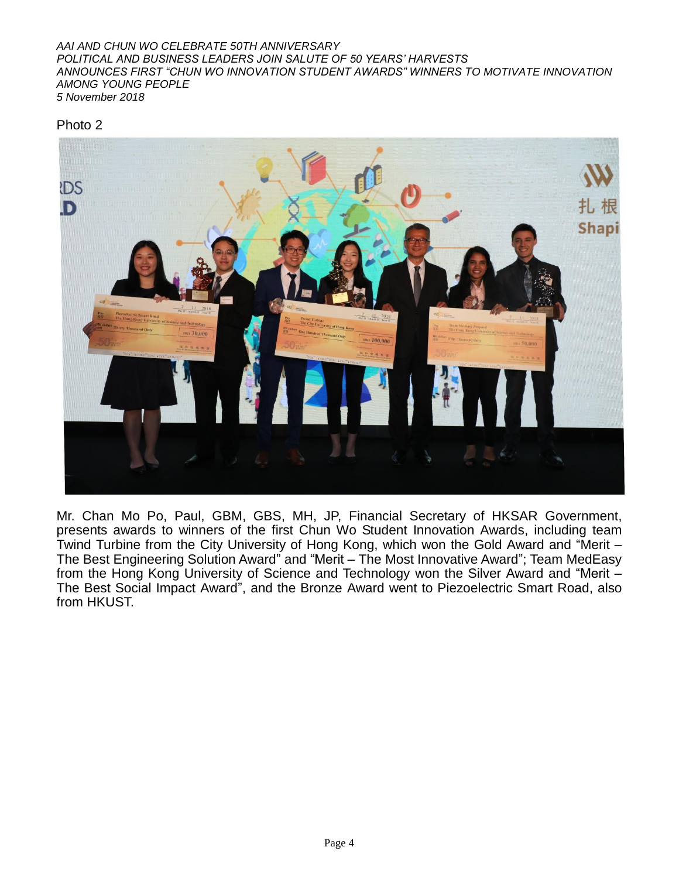#### *AAI AND CHUN WO CELEBRATE 50TH ANNIVERSARY POLITICAL AND BUSINESS LEADERS JOIN SALUTE OF 50 YEARS' HARVESTS ANNOUNCES FIRST "CHUN WO INNOVATION STUDENT AWARDS" WINNERS TO MOTIVATE INNOVATION AMONG YOUNG PEOPLE 5 November 2018*

Photo 2



Mr. Chan Mo Po, Paul, GBM, GBS, MH, JP, Financial Secretary of HKSAR Government, presents awards to winners of the first Chun Wo Student Innovation Awards, including team Twind Turbine from the City University of Hong Kong, which won the Gold Award and "Merit – The Best Engineering Solution Award" and "Merit – The Most Innovative Award"; Team MedEasy from the Hong Kong University of Science and Technology won the Silver Award and "Merit – The Best Social Impact Award", and the Bronze Award went to Piezoelectric Smart Road, also from HKUST.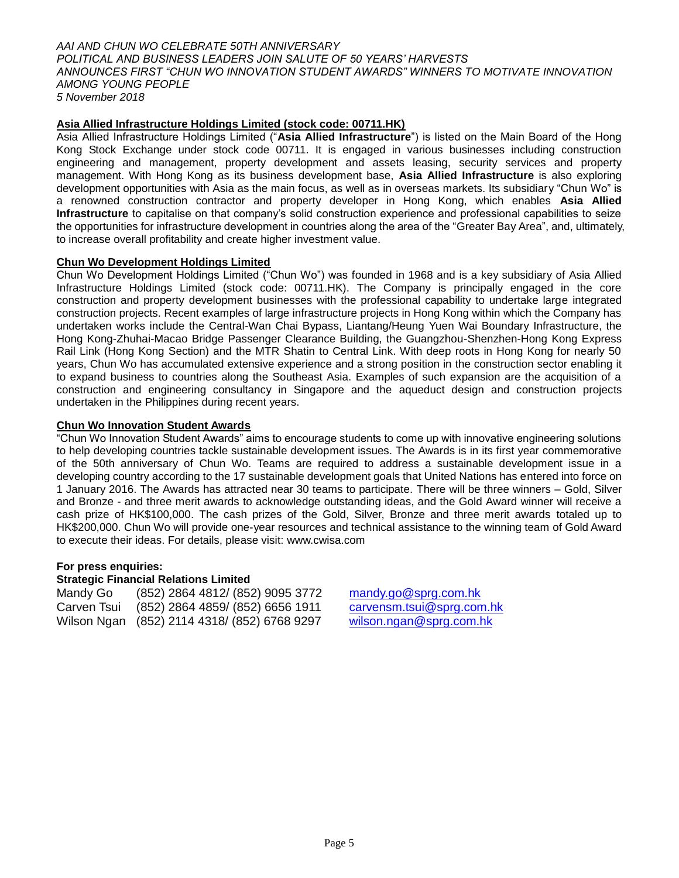*AAI AND CHUN WO CELEBRATE 50TH ANNIVERSARY POLITICAL AND BUSINESS LEADERS JOIN SALUTE OF 50 YEARS' HARVESTS ANNOUNCES FIRST "CHUN WO INNOVATION STUDENT AWARDS" WINNERS TO MOTIVATE INNOVATION AMONG YOUNG PEOPLE 5 November 2018*

## **Asia Allied Infrastructure Holdings Limited (stock code: 00711.HK)**

Asia Allied Infrastructure Holdings Limited ("**Asia Allied Infrastructure**") is listed on the Main Board of the Hong Kong Stock Exchange under stock code 00711. It is engaged in various businesses including construction engineering and management, property development and assets leasing, security services and property management. With Hong Kong as its business development base, **Asia Allied Infrastructure** is also exploring development opportunities with Asia as the main focus, as well as in overseas markets. Its subsidiary "Chun Wo" is a renowned construction contractor and property developer in Hong Kong, which enables **Asia Allied Infrastructure** to capitalise on that company's solid construction experience and professional capabilities to seize the opportunities for infrastructure development in countries along the area of the "Greater Bay Area", and, ultimately, to increase overall profitability and create higher investment value.

#### **Chun Wo Development Holdings Limited**

Chun Wo Development Holdings Limited ("Chun Wo") was founded in 1968 and is a key subsidiary of Asia Allied Infrastructure Holdings Limited (stock code: 00711.HK). The Company is principally engaged in the core construction and property development businesses with the professional capability to undertake large integrated construction projects. Recent examples of large infrastructure projects in Hong Kong within which the Company has undertaken works include the Central-Wan Chai Bypass, Liantang/Heung Yuen Wai Boundary Infrastructure, the Hong Kong-Zhuhai-Macao Bridge Passenger Clearance Building, the Guangzhou-Shenzhen-Hong Kong Express Rail Link (Hong Kong Section) and the MTR Shatin to Central Link. With deep roots in Hong Kong for nearly 50 years, Chun Wo has accumulated extensive experience and a strong position in the construction sector enabling it to expand business to countries along the Southeast Asia. Examples of such expansion are the acquisition of a construction and engineering consultancy in Singapore and the aqueduct design and construction projects undertaken in the Philippines during recent years.

#### **Chun Wo Innovation Student Awards**

"Chun Wo Innovation Student Awards" aims to encourage students to come up with innovative engineering solutions to help developing countries tackle sustainable development issues. The Awards is in its first year commemorative of the 50th anniversary of Chun Wo. Teams are required to address a sustainable development issue in a developing country according to the 17 sustainable development goals that United Nations has entered into force on 1 January 2016. The Awards has attracted near 30 teams to participate. There will be three winners – Gold, Silver and Bronze - and three merit awards to acknowledge outstanding ideas, and the Gold Award winner will receive a cash prize of HK\$100,000. The cash prizes of the Gold, Silver, Bronze and three merit awards totaled up to HK\$200,000. Chun Wo will provide one-year resources and technical assistance to the winning team of Gold Award to execute their ideas. For details, please visit: [www.cwisa.com](http://www.cwisa.com/)

## **For press enquiries:**

#### **Strategic Financial Relations Limited**

Mandy Go (852) 2864 4812/ (852) 9095 3772 [mandy.go@sprg.com.hk](mailto:mandy.go@sprg.com.hk) Carven Tsui (852) 2864 4859/ (852) 6656 1911 [carvensm.tsui@sprg.com.hk](mailto:carvensm.tsui@sprg.com.hk) Wilson Ngan (852) 2114 4318/ (852) 6768 9297 [wilson.ngan@sprg.com.hk](mailto:wilson.ngan@sprg.com.hk)